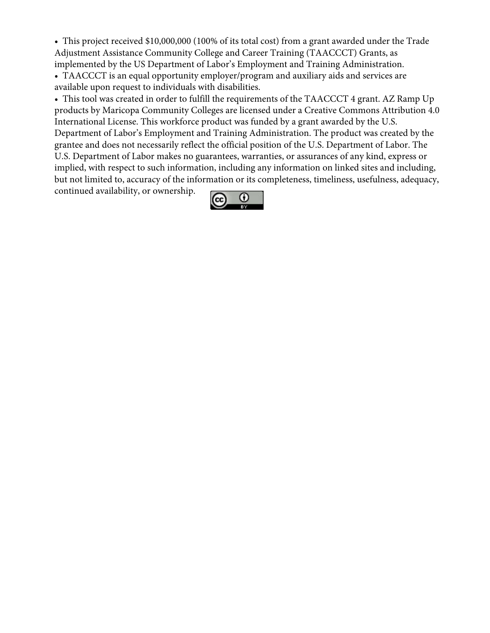• This project received \$10,000,000 (100% of its total cost) from a grant awarded under the Trade Adjustment Assistance Community College and Career Training (TAACCCT) Grants, as implemented by the US Department of Labor's Employment and Training Administration. • TAACCCT is an equal opportunity employer/program and auxiliary aids and services are available upon request to individuals with disabilities.

• This tool was created in order to fulfill the requirements of the TAACCCT 4 grant. AZ Ramp Up products by Maricopa Community Colleges are licensed under a Creative Commons Attribution 4.0 International License. This workforce product was funded by a grant awarded by the U.S. Department of Labor's Employment and Training Administration. The product was created by the grantee and does not necessarily reflect the official position of the U.S. Department of Labor. The U.S. Department of Labor makes no guarantees, warranties, or assurances of any kind, express or implied, with respect to such information, including any information on linked sites and including, but not limited to, accuracy of the information or its completeness, timeliness, usefulness, adequacy, continued availability, or ownership.

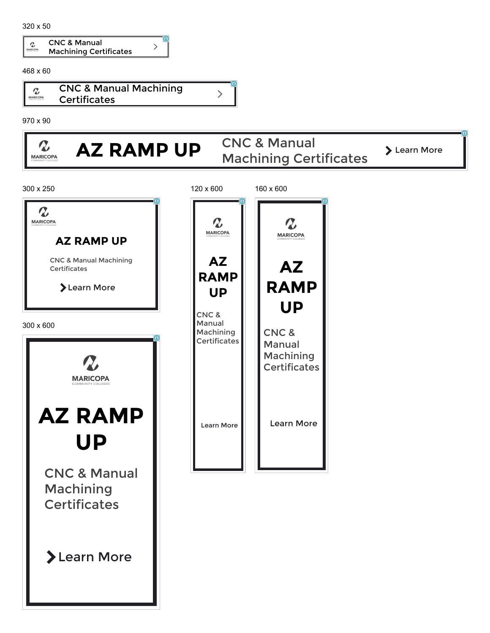|  | <b>CNC &amp; Manual</b>       |  |
|--|-------------------------------|--|
|  | <b>Machining Certificates</b> |  |

468 x 60



970 x 90